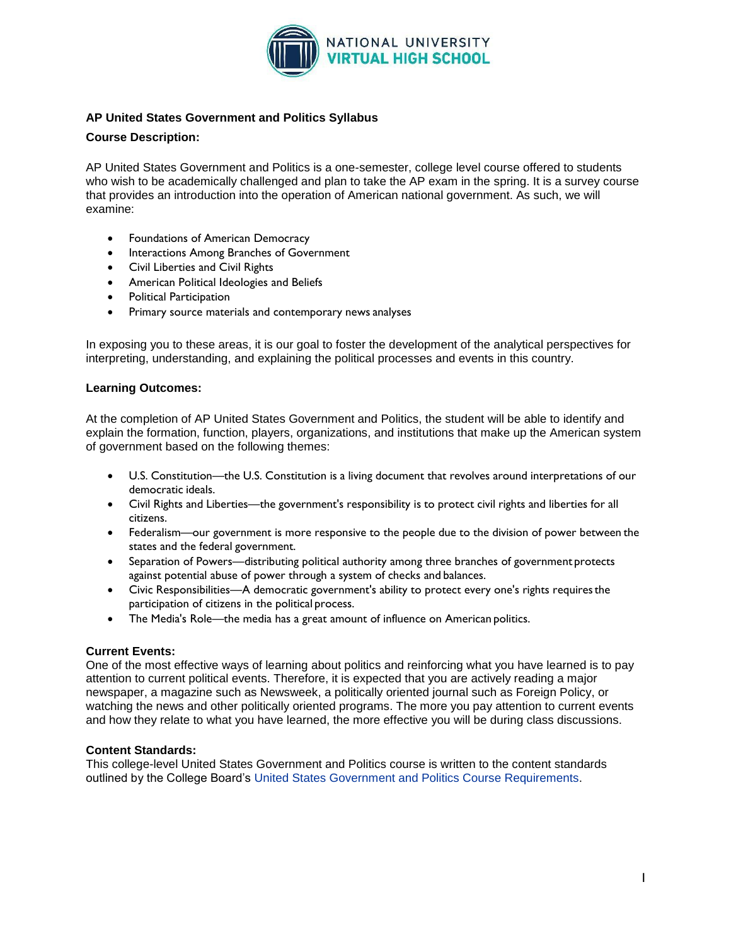

# **AP United States Government and Politics Syllabus**

### **Course Description:**

AP United States Government and Politics is a one-semester, college level course offered to students who wish to be academically challenged and plan to take the AP exam in the spring. It is a survey course that provides an introduction into the operation of American national government. As such, we will examine:

- Foundations of American Democracy
- Interactions Among Branches of Government
- Civil Liberties and Civil Rights
- American Political Ideologies and Beliefs
- Political Participation
- Primary source materials and contemporary news analyses

In exposing you to these areas, it is our goal to foster the development of the analytical perspectives for interpreting, understanding, and explaining the political processes and events in this country.

#### **Learning Outcomes:**

At the completion of AP United States Government and Politics, the student will be able to identify and explain the formation, function, players, organizations, and institutions that make up the American system of government based on the following themes:

- U.S. Constitution—the U.S. Constitution is a living document that revolves around interpretations of our democratic ideals.
- Civil Rights and Liberties—the government's responsibility is to protect civil rights and liberties for all citizens.
- Federalism—our government is more responsive to the people due to the division of power between the states and the federal government.
- Separation of Powers—distributing political authority among three branches of government protects against potential abuse of power through a system of checks and balances.
- Civic Responsibilities—A democratic government's ability to protect every one's rights requiresthe participation of citizens in the political process.
- The Media's Role—the media has a great amount of influence on American politics.

#### **Current Events:**

One of the most effective ways of learning about politics and reinforcing what you have learned is to pay attention to current political events. Therefore, it is expected that you are actively reading a major newspaper, a magazine such as Newsweek, a politically oriented journal such as Foreign Policy, or watching the news and other politically oriented programs. The more you pay attention to current events and how they relate to what you have learned, the more effective you will be during class discussions.

#### **Content Standards:**

This college-level United States Government and Politics course is written to the content standards outlined by the College Board's [United States Government and Politics Course Requirements.](http://apcentral.collegeboard.com/apc/public/courses/teachers_corner/51072.html)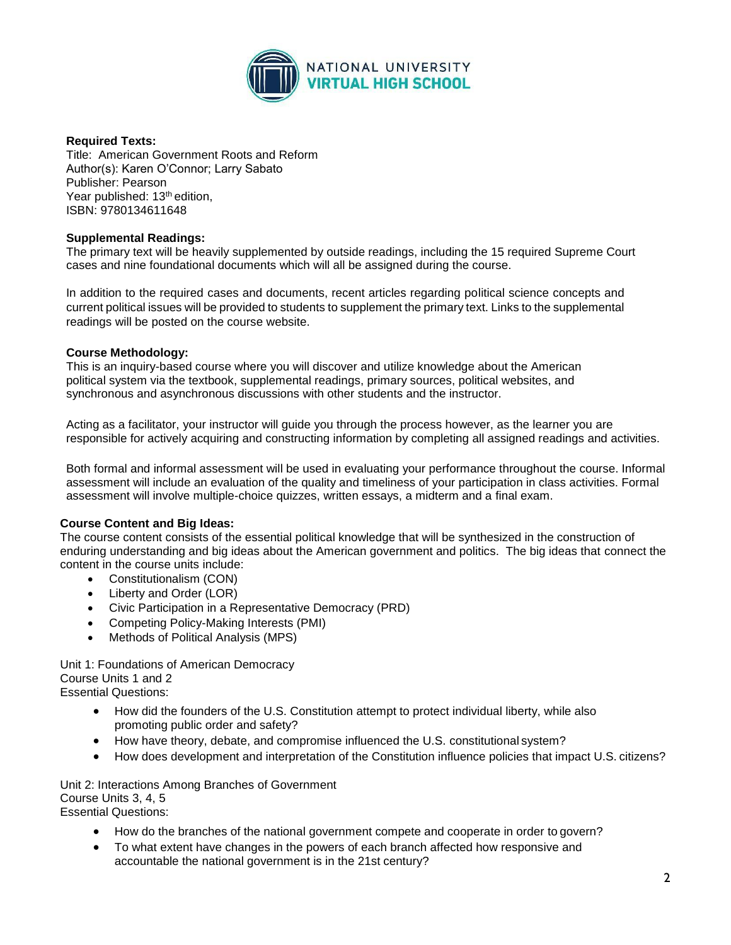

### **Required Texts:**

Title: American Government Roots and Reform Author(s): Karen O'Connor; Larry Sabato Publisher: Pearson Year published: 13<sup>th</sup> edition, ISBN: 9780134611648

### **Supplemental Readings:**

The primary text will be heavily supplemented by outside readings, including the 15 required Supreme Court cases and nine foundational documents which will all be assigned during the course.

In addition to the required cases and documents, recent articles regarding political science concepts and current political issues will be provided to students to supplement the primary text. Links to the supplemental readings will be posted on the course website.

### **Course Methodology:**

This is an inquiry-based course where you will discover and utilize knowledge about the American political system via the textbook, supplemental readings, primary sources, political websites, and synchronous and asynchronous discussions with other students and the instructor.

Acting as a facilitator, your instructor will guide you through the process however, as the learner you are responsible for actively acquiring and constructing information by completing all assigned readings and activities.

Both formal and informal assessment will be used in evaluating your performance throughout the course. Informal assessment will include an evaluation of the quality and timeliness of your participation in class activities. Formal assessment will involve multiple-choice quizzes, written essays, a midterm and a final exam.

# **Course Content and Big Ideas:**

The course content consists of the essential political knowledge that will be synthesized in the construction of enduring understanding and big ideas about the American government and politics. The big ideas that connect the content in the course units include:

- Constitutionalism (CON)
- Liberty and Order (LOR)
- Civic Participation in a Representative Democracy (PRD)
- Competing Policy-Making Interests (PMI)
- Methods of Political Analysis (MPS)

Unit 1: Foundations of American Democracy Course Units 1 and 2 Essential Questions:

- How did the founders of the U.S. Constitution attempt to protect individual liberty, while also promoting public order and safety?
- How have theory, debate, and compromise influenced the U.S. constitutional system?
- How does development and interpretation of the Constitution influence policies that impact U.S. citizens?

Unit 2: Interactions Among Branches of Government Course Units 3, 4, 5 Essential Questions:

- How do the branches of the national government compete and cooperate in order to govern?
- To what extent have changes in the powers of each branch affected how responsive and accountable the national government is in the 21st century?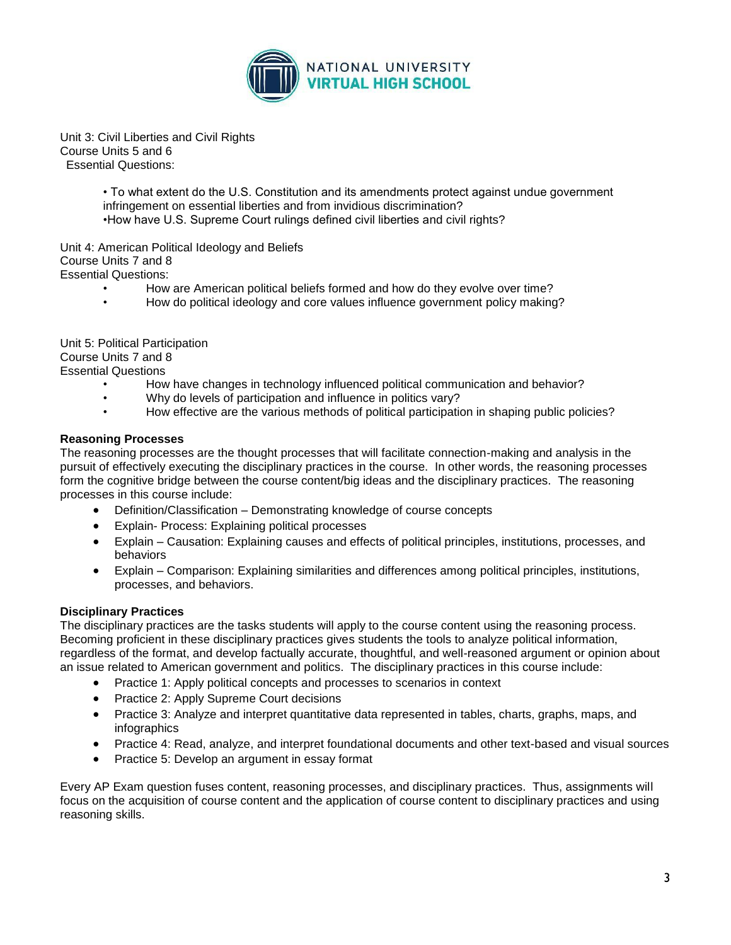

Unit 3: Civil Liberties and Civil Rights Course Units 5 and 6 Essential Questions:

> • To what extent do the U.S. Constitution and its amendments protect against undue government infringement on essential liberties and from invidious discrimination? •How have U.S. Supreme Court rulings defined civil liberties and civil rights?

Unit 4: American Political Ideology and Beliefs Course Units 7 and 8 Essential Questions:

- How are American political beliefs formed and how do they evolve over time?
- How do political ideology and core values influence government policy making?

Unit 5: Political Participation Course Units 7 and 8 Essential Questions

- How have changes in technology influenced political communication and behavior?
- Why do levels of participation and influence in politics vary?<br>• How effective are the various methods of political participation
- How effective are the various methods of political participation in shaping public policies?

### **Reasoning Processes**

The reasoning processes are the thought processes that will facilitate connection-making and analysis in the pursuit of effectively executing the disciplinary practices in the course. In other words, the reasoning processes form the cognitive bridge between the course content/big ideas and the disciplinary practices. The reasoning processes in this course include:

- Definition/Classification Demonstrating knowledge of course concepts
- Explain- Process: Explaining political processes
- Explain Causation: Explaining causes and effects of political principles, institutions, processes, and behaviors
- Explain Comparison: Explaining similarities and differences among political principles, institutions, processes, and behaviors.

# **Disciplinary Practices**

The disciplinary practices are the tasks students will apply to the course content using the reasoning process. Becoming proficient in these disciplinary practices gives students the tools to analyze political information, regardless of the format, and develop factually accurate, thoughtful, and well-reasoned argument or opinion about an issue related to American government and politics. The disciplinary practices in this course include:

- Practice 1: Apply political concepts and processes to scenarios in context
- Practice 2: Apply Supreme Court decisions
- Practice 3: Analyze and interpret quantitative data represented in tables, charts, graphs, maps, and infographics
- Practice 4: Read, analyze, and interpret foundational documents and other text-based and visual sources
- Practice 5: Develop an argument in essay format

Every AP Exam question fuses content, reasoning processes, and disciplinary practices. Thus, assignments will focus on the acquisition of course content and the application of course content to disciplinary practices and using reasoning skills.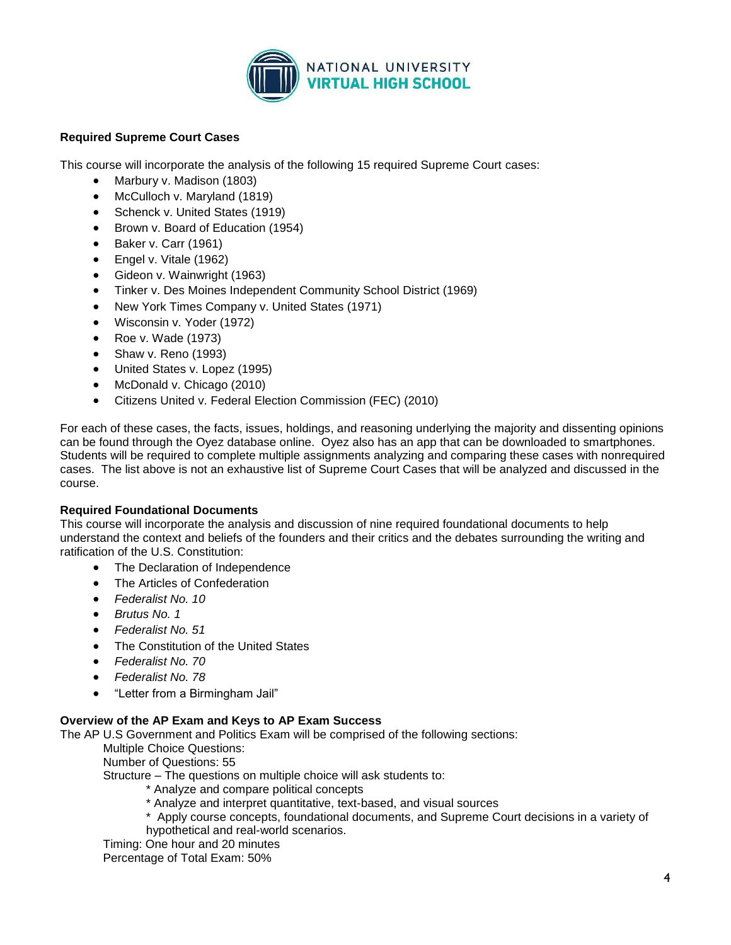

# **Required Supreme Court Cases**

This course will incorporate the analysis of the following 15 required Supreme Court cases:

- Marbury v. Madison (1803)
- McCulloch v. Maryland (1819)
- Schenck v. United States (1919)
- Brown v. Board of Education (1954)
- Baker v. Carr (1961)
- Engel v. Vitale (1962)
- Gideon v. Wainwright (1963)
- Tinker v. Des Moines Independent Community School District (1969)
- New York Times Company v. United States (1971)
- Wisconsin v. Yoder (1972)
- Roe v. Wade (1973)
- Shaw v. Reno (1993)
- United States v. Lopez (1995)
- McDonald v. Chicago (2010)
- Citizens United v. Federal Election Commission (FEC) (2010)

For each of these cases, the facts, issues, holdings, and reasoning underlying the majority and dissenting opinions can be found through the Oyez database online. Oyez also has an app that can be downloaded to smartphones. Students will be required to complete multiple assignments analyzing and comparing these cases with nonrequired cases. The list above is not an exhaustive list of Supreme Court Cases that will be analyzed and discussed in the course.

#### **Required Foundational Documents**

This course will incorporate the analysis and discussion of nine required foundational documents to help understand the context and beliefs of the founders and their critics and the debates surrounding the writing and ratification of the U.S. Constitution:

- The Declaration of Independence
- The Articles of Confederation
- *Federalist No. 10*
- *Brutus No. 1*
- *Federalist No. 51*
- The Constitution of the United States
- *Federalist No. 70*
- *Federalist No. 78*
- "Letter from a Birmingham Jail"

# **Overview of the AP Exam and Keys to AP Exam Success**

The AP U.S Government and Politics Exam will be comprised of the following sections:

Multiple Choice Questions:

Number of Questions: 55

Structure – The questions on multiple choice will ask students to:

- \* Analyze and compare political concepts
- \* Analyze and interpret quantitative, text-based, and visual sources
- \* Apply course concepts, foundational documents, and Supreme Court decisions in a variety of hypothetical and real-world scenarios.

Timing: One hour and 20 minutes

Percentage of Total Exam: 50%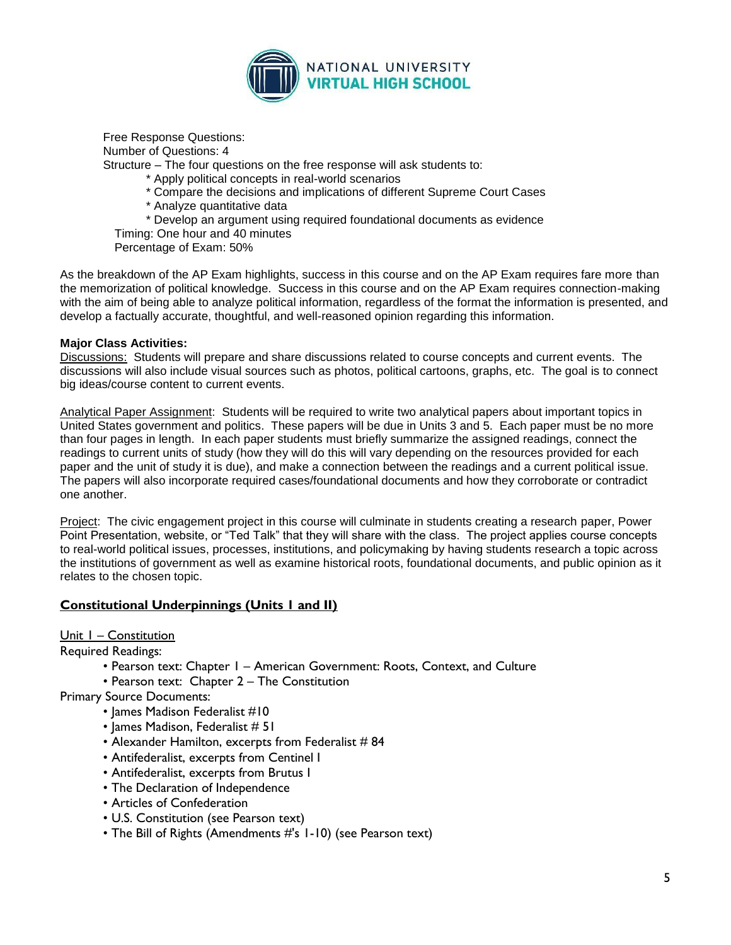

Free Response Questions: Number of Questions: 4

Structure – The four questions on the free response will ask students to:

\* Apply political concepts in real-world scenarios

- \* Compare the decisions and implications of different Supreme Court Cases
- \* Analyze quantitative data
- \* Develop an argument using required foundational documents as evidence

Timing: One hour and 40 minutes

Percentage of Exam: 50%

As the breakdown of the AP Exam highlights, success in this course and on the AP Exam requires fare more than the memorization of political knowledge. Success in this course and on the AP Exam requires connection-making with the aim of being able to analyze political information, regardless of the format the information is presented, and develop a factually accurate, thoughtful, and well-reasoned opinion regarding this information.

#### **Major Class Activities:**

Discussions: Students will prepare and share discussions related to course concepts and current events. The discussions will also include visual sources such as photos, political cartoons, graphs, etc. The goal is to connect big ideas/course content to current events.

Analytical Paper Assignment: Students will be required to write two analytical papers about important topics in United States government and politics. These papers will be due in Units 3 and 5. Each paper must be no more than four pages in length. In each paper students must briefly summarize the assigned readings, connect the readings to current units of study (how they will do this will vary depending on the resources provided for each paper and the unit of study it is due), and make a connection between the readings and a current political issue. The papers will also incorporate required cases/foundational documents and how they corroborate or contradict one another.

Project: The civic engagement project in this course will culminate in students creating a research paper, Power Point Presentation, website, or "Ted Talk" that they will share with the class. The project applies course concepts to real-world political issues, processes, institutions, and policymaking by having students research a topic across the institutions of government as well as examine historical roots, foundational documents, and public opinion as it relates to the chosen topic.

# **Constitutional Underpinnings (Units 1 and II)**

Unit 1 – Constitution

Required Readings:

- Pearson text: Chapter 1 American Government: Roots, Context, and Culture
- Pearson text: Chapter 2 The Constitution

Primary Source Documents:

- James Madison Federalist #10
- James Madison, Federalist # 51
- Alexander Hamilton, excerpts from Federalist # 84
- Antifederalist, excerpts from Centinel I
- Antifederalist, excerpts from Brutus I
- The Declaration of Independence
- Articles of Confederation
- U.S. Constitution (see Pearson text)
- The Bill of Rights (Amendments #'s 1-10) (see Pearson text)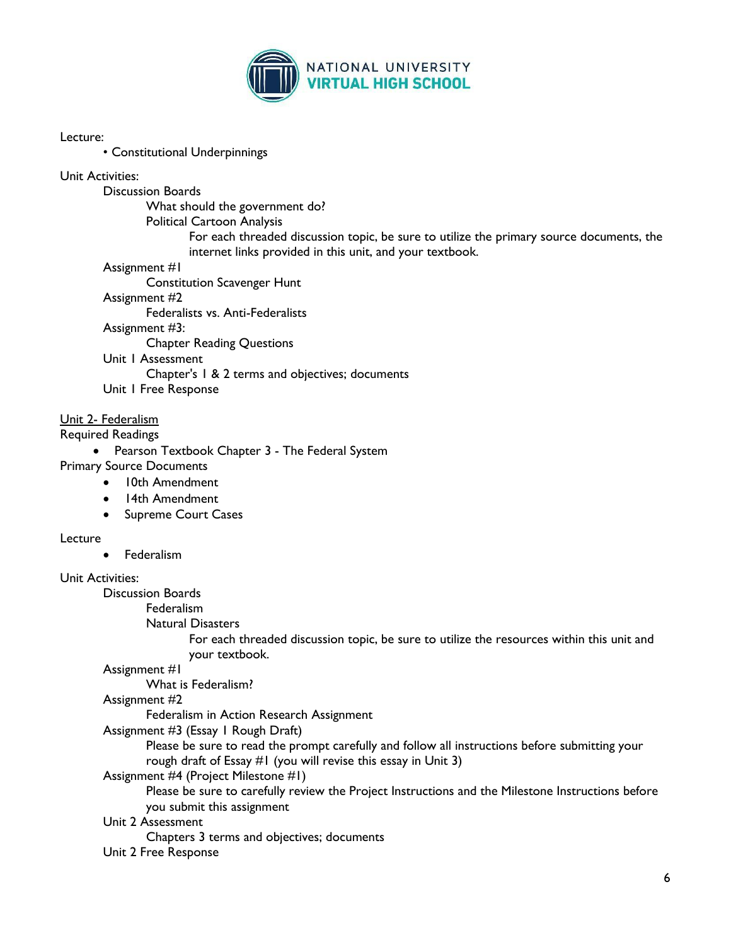

### Lecture:

• Constitutional Underpinnings

# Unit Activities:

Discussion Boards

What should the government do?

Political Cartoon Analysis

For each threaded discussion topic, be sure to utilize the primary source documents, the internet links provided in this unit, and your textbook.

### Assignment #1

Constitution Scavenger Hunt

# Assignment #2

Federalists vs. Anti-Federalists

Assignment #3:

Chapter Reading Questions

Unit 1 Assessment

Chapter's 1 & 2 terms and objectives; documents

Unit 1 Free Response

# Unit 2- Federalism

Required Readings

• Pearson Textbook Chapter 3 - The Federal System

# Primary Source Documents

- 10th Amendment
- 14th Amendment
- Supreme Court Cases

# Lecture

Federalism

# Unit Activities:

Discussion Boards

Federalism

Natural Disasters

For each threaded discussion topic, be sure to utilize the resources within this unit and your textbook.

Assignment #1

What is Federalism?

Assignment #2

Federalism in Action Research Assignment

Assignment #3 (Essay 1 Rough Draft)

Please be sure to read the prompt carefully and follow all instructions before submitting your rough draft of Essay #1 (you will revise this essay in Unit 3)

# Assignment #4 (Project Milestone #1)

Please be sure to carefully review the Project Instructions and the Milestone Instructions before you submit this assignment

# Unit 2 Assessment

Chapters 3 terms and objectives; documents

Unit 2 Free Response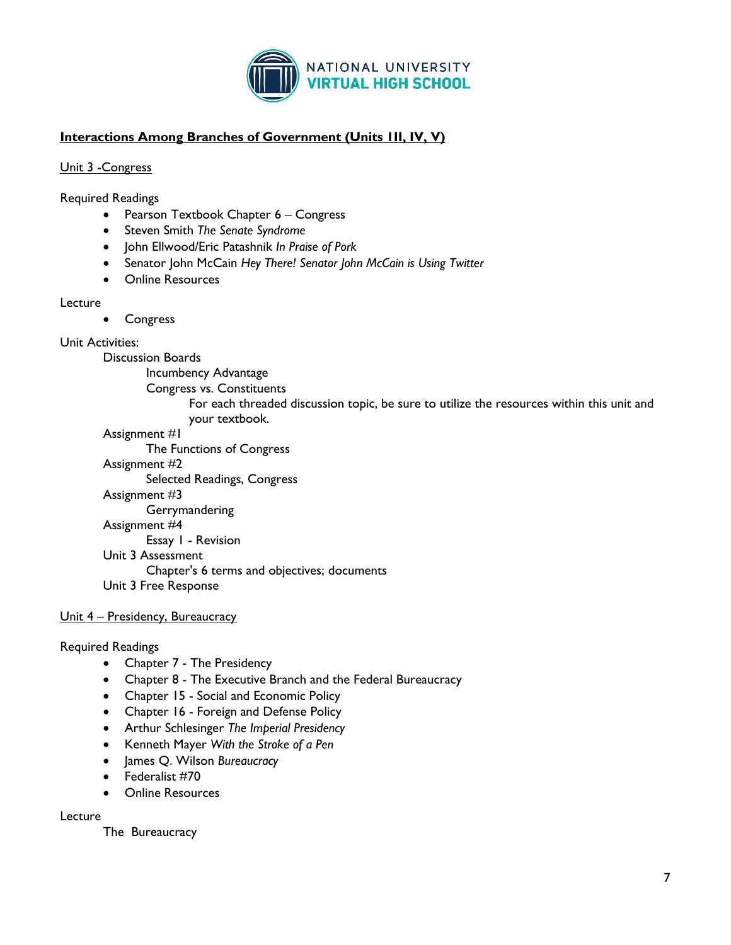

# **Interactions Among Branches of Government (Units 1II, IV, V)**

# Unit 3 -Congress

Required Readings

- Pearson Textbook Chapter 6 Congress
- Steven Smith *The Senate Syndrome*
- John Ellwood/Eric Patashnik *In Praise of Pork*
- Senator John McCain *Hey There! Senator John McCain is Using Twitter*
- Online Resources

# Lecture

Congress

# Unit Activities:

Discussion Boards

Incumbency Advantage

- Congress vs. Constituents
	- For each threaded discussion topic, be sure to utilize the resources within this unit and your textbook.

# Assignment #1

The Functions of Congress

# Assignment #2

Selected Readings, Congress

Assignment #3

Gerrymandering

#### Assignment #4

Essay 1 - Revision

Unit 3 Assessment

Chapter's 6 terms and objectives; documents

Unit 3 Free Response

# Unit 4 – Presidency, Bureaucracy

# Required Readings

- Chapter 7 The Presidency
- Chapter 8 The Executive Branch and the Federal Bureaucracy
- Chapter 15 Social and Economic Policy
- Chapter 16 Foreign and Defense Policy
- Arthur Schlesinger *The Imperial Presidency*
- Kenneth Mayer *With the Stroke of a Pen*
- James Q. Wilson *Bureaucracy*
- Federalist #70
- Online Resources

# Lecture

The Bureaucracy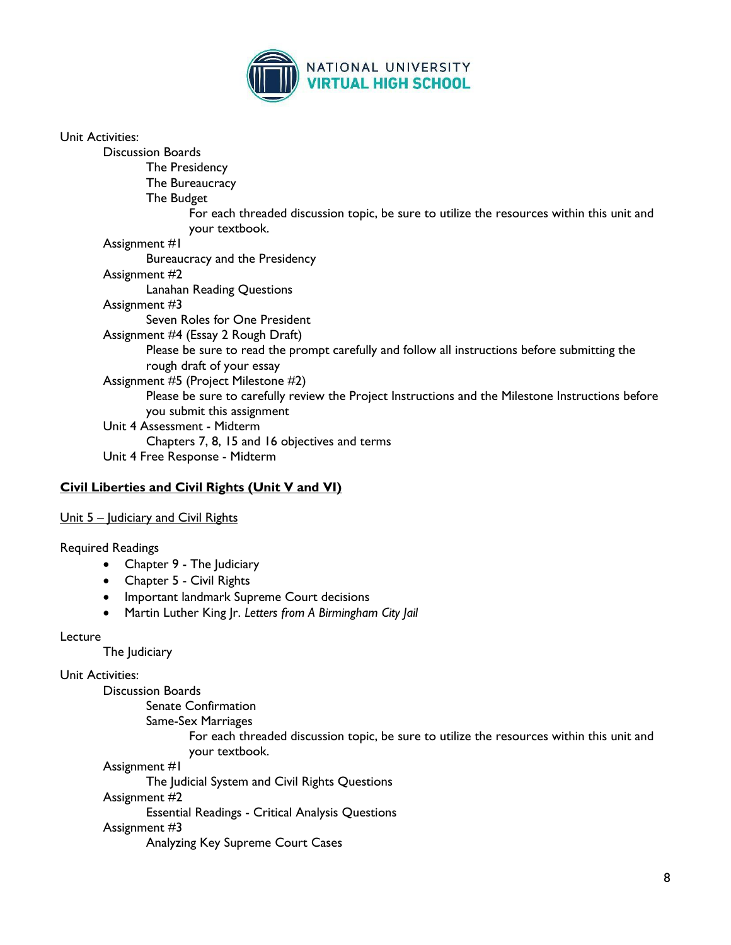

| Unit Activities:                                                                                                                |
|---------------------------------------------------------------------------------------------------------------------------------|
| <b>Discussion Boards</b>                                                                                                        |
| The Presidency                                                                                                                  |
| The Bureaucracy                                                                                                                 |
| The Budget                                                                                                                      |
| For each threaded discussion topic, be sure to utilize the resources within this unit and<br>your textbook.                     |
| Assignment #1                                                                                                                   |
| Bureaucracy and the Presidency                                                                                                  |
| Assignment #2                                                                                                                   |
| Lanahan Reading Questions                                                                                                       |
| Assignment #3                                                                                                                   |
| Seven Roles for One President                                                                                                   |
| Assignment #4 (Essay 2 Rough Draft)                                                                                             |
| Please be sure to read the prompt carefully and follow all instructions before submitting the<br>rough draft of your essay      |
| Assignment #5 (Project Milestone #2)                                                                                            |
| Please be sure to carefully review the Project Instructions and the Milestone Instructions before<br>you submit this assignment |
| Unit 4 Assessment - Midterm                                                                                                     |
| Chapters 7, 8, 15 and 16 objectives and terms                                                                                   |
| Unit 4 Free Response - Midterm                                                                                                  |

# **Civil Liberties and Civil Rights (Unit V and VI)**

### Unit 5 – Judiciary and Civil Rights

#### Required Readings

- Chapter 9 The Judiciary
- Chapter 5 Civil Rights
- Important landmark Supreme Court decisions
- Martin Luther King Jr. *Letters from A Birmingham City Jail*

#### Lecture

The Judiciary

### Unit Activities:

Discussion Boards

Senate Confirmation

Same-Sex Marriages

For each threaded discussion topic, be sure to utilize the resources within this unit and your textbook.

Assignment #1

The Judicial System and Civil Rights Questions

Assignment #2

Essential Readings - Critical Analysis Questions

# Assignment #3

Analyzing Key Supreme Court Cases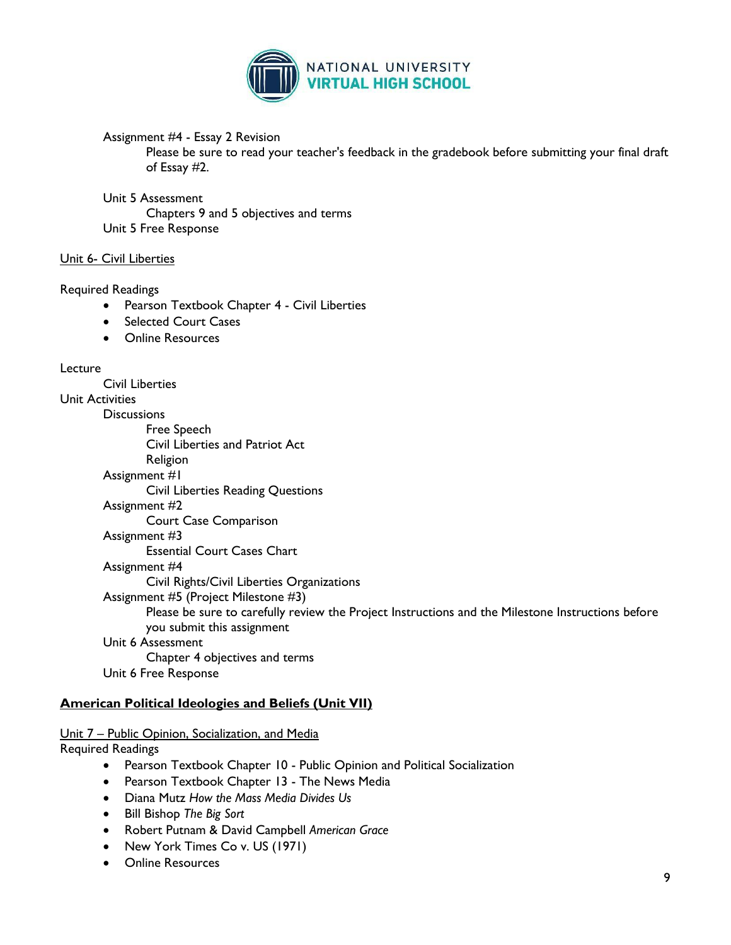

Assignment #4 - Essay 2 Revision

Please be sure to read your teacher's feedback in the gradebook before submitting your final draft of Essay #2.

### Unit 5 Assessment

Chapters 9 and 5 objectives and terms Unit 5 Free Response

# Unit 6- Civil Liberties

# Required Readings

- Pearson Textbook Chapter 4 Civil Liberties
- Selected Court Cases
- Online Resources

### Lecture

Civil Liberties Unit Activities **Discussions** Free Speech Civil Liberties and Patriot Act Religion Assignment #1 Civil Liberties Reading Questions Assignment #2 Court Case Comparison Assignment #3 Essential Court Cases Chart Assignment #4 Civil Rights/Civil Liberties Organizations Assignment #5 (Project Milestone #3) Please be sure to carefully review the Project Instructions and the Milestone Instructions before you submit this assignment Unit 6 Assessment Chapter 4 objectives and terms Unit 6 Free Response

# **American Political Ideologies and Beliefs (Unit VII)**

# Unit 7 – Public Opinion, Socialization, and Media

Required Readings

- Pearson Textbook Chapter 10 Public Opinion and Political Socialization
- Pearson Textbook Chapter 13 The News Media
- Diana Mutz *How the Mass Media Divides Us*
- Bill Bishop *The Big Sort*
- Robert Putnam & David Campbell *American Grace*
- New York Times Co v. US (1971)
- Online Resources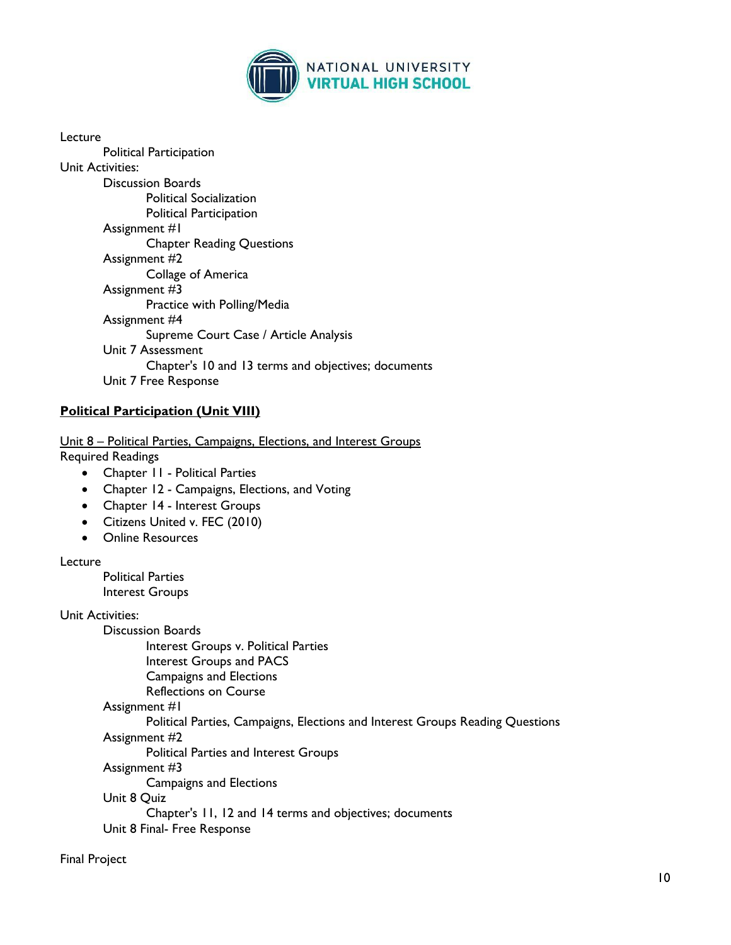

| Lecture                                             |
|-----------------------------------------------------|
| Political Participation                             |
| Unit Activities:                                    |
| Discussion Boards                                   |
| <b>Political Socialization</b>                      |
| Political Participation                             |
| Assignment #1                                       |
| <b>Chapter Reading Questions</b>                    |
| Assignment #2                                       |
| Collage of America                                  |
| Assignment #3                                       |
| Practice with Polling/Media                         |
| Assignment #4                                       |
| Supreme Court Case / Article Analysis               |
| Unit 7 Assessment                                   |
| Chapter's 10 and 13 terms and objectives; documents |
| Unit 7 Free Response                                |

# **Political Participation (Unit VIII)**

Unit 8 – Political Parties, Campaigns, Elections, and Interest Groups Required Readings

- Chapter II Political Parties
- Chapter 12 Campaigns, Elections, and Voting
- Chapter 14 Interest Groups
- Citizens United v. FEC (2010)
- Online Resources

# **Lecture**

Political Parties Interest Groups

Unit Activities:

Discussion Boards Interest Groups v. Political Parties Interest Groups and PACS Campaigns and Elections Reflections on Course

### Assignment #1

Political Parties, Campaigns, Elections and Interest Groups Reading Questions

Assignment #2

Political Parties and Interest Groups

Assignment #3

Campaigns and Elections

Unit 8 Quiz

Chapter's 11, 12 and 14 terms and objectives; documents

Unit 8 Final- Free Response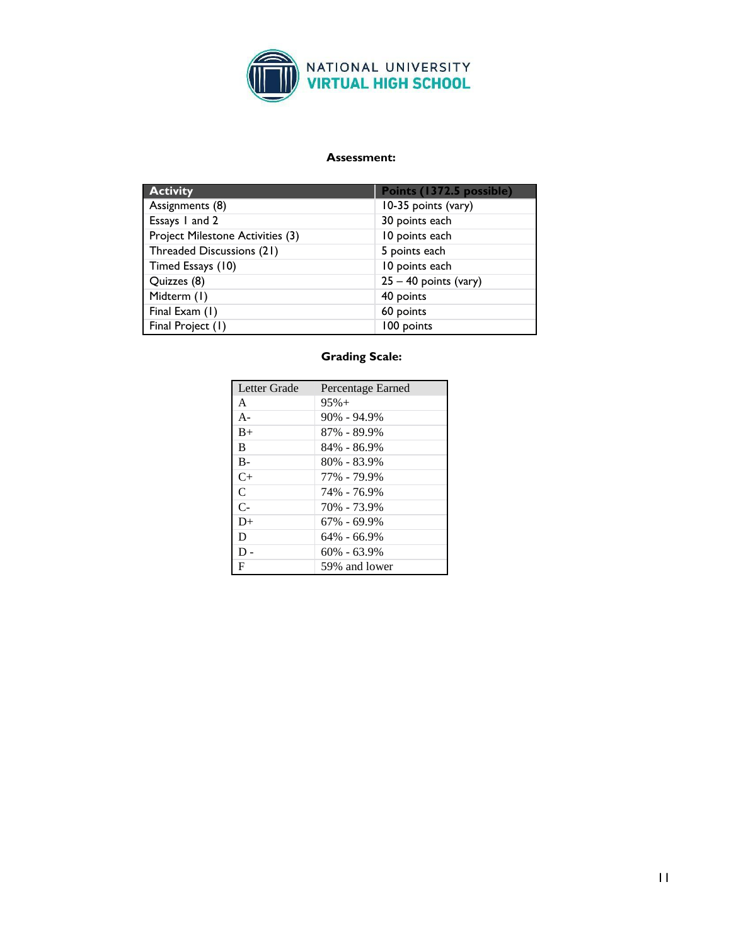

# **Assessment:**

| <b>Activity</b>                  | Points (1372.5 possible) |
|----------------------------------|--------------------------|
| Assignments (8)                  | 10-35 points (vary)      |
| Essays 1 and 2                   | 30 points each           |
| Project Milestone Activities (3) | 10 points each           |
| Threaded Discussions (21)        | 5 points each            |
| Timed Essays (10)                | 10 points each           |
| Quizzes (8)                      | $25 - 40$ points (vary)  |
| Midterm (1)                      | 40 points                |
| Final Exam (1)                   | 60 points                |
| Final Project (1)                | 100 points               |

# **Grading Scale:**

| Letter Grade   | Percentage Earned |
|----------------|-------------------|
| A              | $95% +$           |
| $A -$          | $90\% - 94.9\%$   |
| $B+$           | 87% - 89.9%       |
| B              | 84% - 86.9%       |
| $B -$          | $80\% - 83.9\%$   |
| $C+$           | 77% - 79.9%       |
| $\mathsf{C}$   | 74% - 76.9%       |
| $\overline{C}$ | 70% - 73.9%       |
| $D+$           | $67\% - 69.9\%$   |
| D              | $64\% - 66.9\%$   |
| $D -$          | $60\% - 63.9\%$   |
| F              | 59% and lower     |